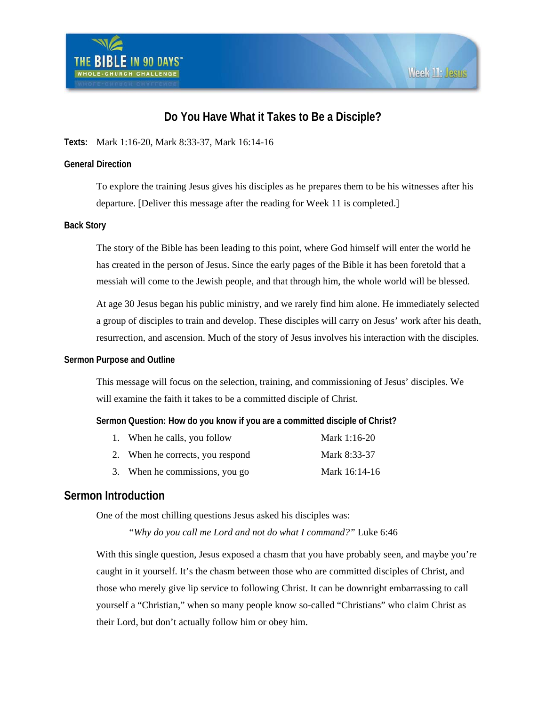

# **Do You Have What it Takes to Be a Disciple?**

**Texts:** Mark 1:16-20, Mark 8:33-37, Mark 16:14-16

#### **General Direction**

To explore the training Jesus gives his disciples as he prepares them to be his witnesses after his departure. [Deliver this message after the reading for Week 11 is completed.]

#### **Back Story**

The story of the Bible has been leading to this point, where God himself will enter the world he has created in the person of Jesus. Since the early pages of the Bible it has been foretold that a messiah will come to the Jewish people, and that through him, the whole world will be blessed.

At age 30 Jesus began his public ministry, and we rarely find him alone. He immediately selected a group of disciples to train and develop. These disciples will carry on Jesus' work after his death, resurrection, and ascension. Much of the story of Jesus involves his interaction with the disciples.

#### **Sermon Purpose and Outline**

This message will focus on the selection, training, and commissioning of Jesus' disciples. We will examine the faith it takes to be a committed disciple of Christ.

#### **Sermon Question: How do you know if you are a committed disciple of Christ?**

| 1. When he calls, you follow     | Mark 1:16-20  |
|----------------------------------|---------------|
| 2. When he corrects, you respond | Mark 8:33-37  |
| 3. When he commissions, you go   | Mark 16:14-16 |

## **Sermon Introduction**

One of the most chilling questions Jesus asked his disciples was:

 *"Why do you call me Lord and not do what I command?"* Luke 6:46

With this single question, Jesus exposed a chasm that you have probably seen, and maybe you're caught in it yourself. It's the chasm between those who are committed disciples of Christ, and those who merely give lip service to following Christ. It can be downright embarrassing to call yourself a "Christian," when so many people know so-called "Christians" who claim Christ as their Lord, but don't actually follow him or obey him.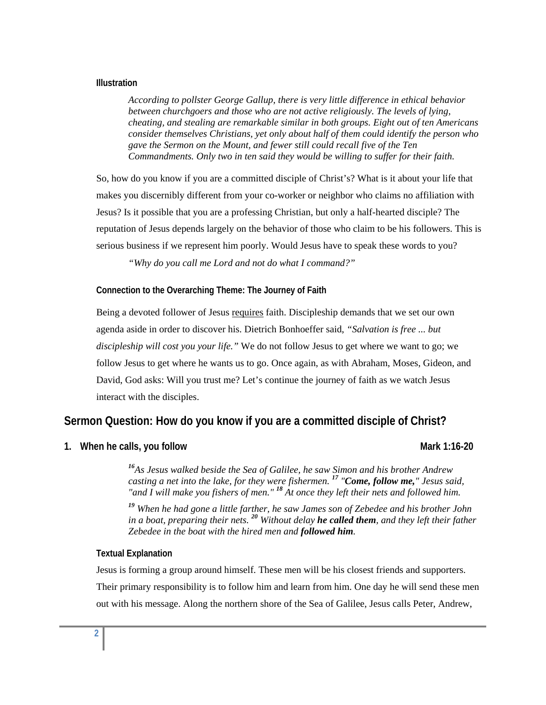#### **Illustration**

*According to pollster George Gallup, there is very little difference in ethical behavior between churchgoers and those who are not active religiously. The levels of lying, cheating, and stealing are remarkable similar in both groups. Eight out of ten Americans consider themselves Christians, yet only about half of them could identify the person who gave the Sermon on the Mount, and fewer still could recall five of the Ten Commandments. Only two in ten said they would be willing to suffer for their faith.* 

So, how do you know if you are a committed disciple of Christ's? What is it about your life that makes you discernibly different from your co-worker or neighbor who claims no affiliation with Jesus? Is it possible that you are a professing Christian, but only a half-hearted disciple? The reputation of Jesus depends largely on the behavior of those who claim to be his followers. This is serious business if we represent him poorly. Would Jesus have to speak these words to you?

 *"Why do you call me Lord and not do what I command?"* 

#### **Connection to the Overarching Theme: The Journey of Faith**

Being a devoted follower of Jesus requires faith. Discipleship demands that we set our own agenda aside in order to discover his. Dietrich Bonhoeffer said, *"Salvation is free ... but discipleship will cost you your life."* We do not follow Jesus to get where we want to go; we follow Jesus to get where he wants us to go. Once again, as with Abraham, Moses, Gideon, and David, God asks: Will you trust me? Let's continue the journey of faith as we watch Jesus interact with the disciples.

## **Sermon Question: How do you know if you are a committed disciple of Christ?**

**1.** When he calls, you follow Mark 1:16-20 **Mark 1:16-20** 

*<sup>16</sup>As Jesus walked beside the Sea of Galilee, he saw Simon and his brother Andrew casting a net into the lake, for they were fishermen. <sup>17</sup> "Come, follow me," Jesus said, "and I will make you fishers of men." <sup>18</sup> At once they left their nets and followed him.* 

*<sup>19</sup> When he had gone a little farther, he saw James son of Zebedee and his brother John in a boat, preparing their nets. <sup>20</sup> Without delay he called them, and they left their father Zebedee in the boat with the hired men and followed him.* 

#### **Textual Explanation**

Jesus is forming a group around himself. These men will be his closest friends and supporters. Their primary responsibility is to follow him and learn from him. One day he will send these men out with his message. Along the northern shore of the Sea of Galilee, Jesus calls Peter, Andrew,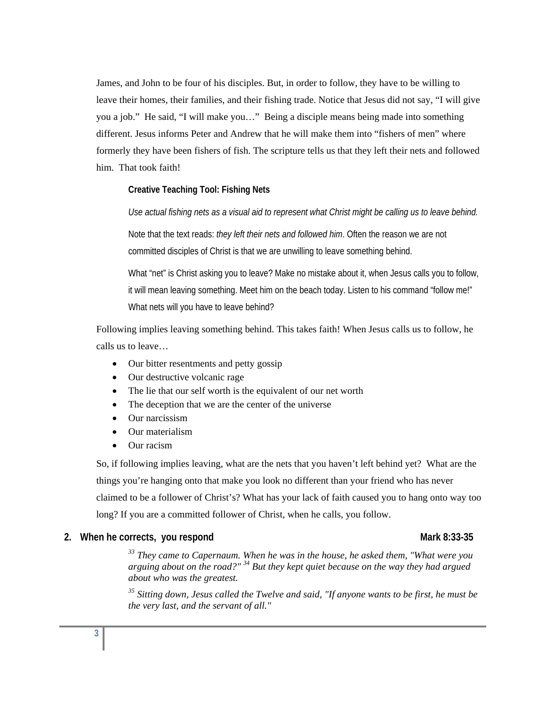James, and John to be four of his disciples. But, in order to follow, they have to be willing to leave their homes, their families, and their fishing trade. Notice that Jesus did not say, "I will give you a job." He said, "I will make you…" Being a disciple means being made into something different. Jesus informs Peter and Andrew that he will make them into "fishers of men" where formerly they have been fishers of fish. The scripture tells us that they left their nets and followed him. That took faith!

#### **Creative Teaching Tool: Fishing Nets**

*Use actual fishing nets as a visual aid to represent what Christ might be calling us to leave behind.* 

Note that the text reads: *they left their nets and followed him*. Often the reason we are not committed disciples of Christ is that we are unwilling to leave something behind.

What "net" is Christ asking you to leave? Make no mistake about it, when Jesus calls you to follow, it will mean leaving something. Meet him on the beach today. Listen to his command "follow me!" What nets will you have to leave behind?

Following implies leaving something behind. This takes faith! When Jesus calls us to follow, he calls us to leave…

- Our bitter resentments and petty gossip
- Our destructive volcanic rage
- The lie that our self worth is the equivalent of our net worth
- The deception that we are the center of the universe
- Our narcissism
- Our materialism
- Our racism

So, if following implies leaving, what are the nets that you haven't left behind yet? What are the things you're hanging onto that make you look no different than your friend who has never claimed to be a follower of Christ's? What has your lack of faith caused you to hang onto way too long? If you are a committed follower of Christ, when he calls, you follow.

### 2. When he corrects, you respond and a set of the Mark 8:33-35 Mark 8:33-35

*33 They came to Capernaum. When he was in the house, he asked them, "What were you arguing about on the road?" 34 But they kept quiet because on the way they had argued about who was the greatest.* 

*35 Sitting down, Jesus called the Twelve and said, "If anyone wants to be first, he must be the very last, and the servant of all."*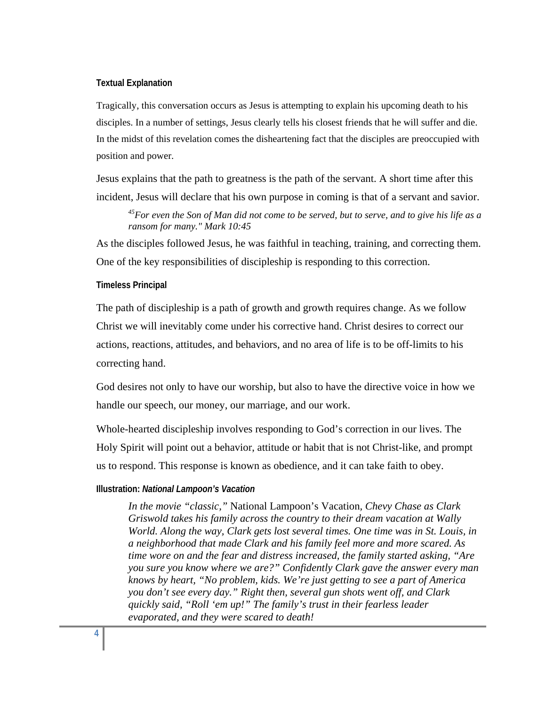#### **Textual Explanation**

Tragically, this conversation occurs as Jesus is attempting to explain his upcoming death to his disciples. In a number of settings, Jesus clearly tells his closest friends that he will suffer and die. In the midst of this revelation comes the disheartening fact that the disciples are preoccupied with position and power.

Jesus explains that the path to greatness is the path of the servant. A short time after this incident, Jesus will declare that his own purpose in coming is that of a servant and savior.

*45For even the Son of Man did not come to be served, but to serve, and to give his life as a ransom for many." Mark 10:45*

As the disciples followed Jesus, he was faithful in teaching, training, and correcting them. One of the key responsibilities of discipleship is responding to this correction.

#### **Timeless Principal**

The path of discipleship is a path of growth and growth requires change. As we follow Christ we will inevitably come under his corrective hand. Christ desires to correct our actions, reactions, attitudes, and behaviors, and no area of life is to be off-limits to his correcting hand.

God desires not only to have our worship, but also to have the directive voice in how we handle our speech, our money, our marriage, and our work.

Whole-hearted discipleship involves responding to God's correction in our lives. The Holy Spirit will point out a behavior, attitude or habit that is not Christ-like, and prompt us to respond. This response is known as obedience, and it can take faith to obey.

#### **Illustration:** *National Lampoon's Vacation*

*In the movie "classic,"* National Lampoon's Vacation*, Chevy Chase as Clark Griswold takes his family across the country to their dream vacation at Wally World. Along the way, Clark gets lost several times. One time was in St. Louis, in a neighborhood that made Clark and his family feel more and more scared. As time wore on and the fear and distress increased, the family started asking, "Are you sure you know where we are?" Confidently Clark gave the answer every man knows by heart, "No problem, kids. We're just getting to see a part of America you don't see every day." Right then, several gun shots went off, and Clark quickly said, "Roll 'em up!" The family's trust in their fearless leader evaporated, and they were scared to death!*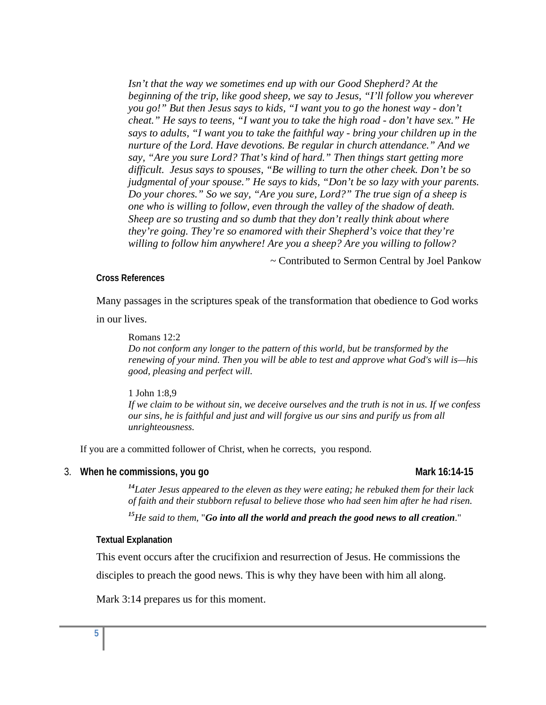*Isn't that the way we sometimes end up with our Good Shepherd? At the beginning of the trip, like good sheep, we say to Jesus, "I'll follow you wherever you go!" But then Jesus says to kids, "I want you to go the honest way - don't cheat." He says to teens, "I want you to take the high road - don't have sex." He says to adults, "I want you to take the faithful way - bring your children up in the nurture of the Lord. Have devotions. Be regular in church attendance." And we say, "Are you sure Lord? That's kind of hard." Then things start getting more difficult. Jesus says to spouses, "Be willing to turn the other cheek. Don't be so judgmental of your spouse." He says to kids, "Don't be so lazy with your parents. Do your chores." So we say, "Are you sure, Lord?" The true sign of a sheep is one who is willing to follow, even through the valley of the shadow of death. Sheep are so trusting and so dumb that they don't really think about where they're going. They're so enamored with their Shepherd's voice that they're willing to follow him anywhere! Are you a sheep? Are you willing to follow?* 

*~* Contributed to Sermon Central by Joel Pankow

#### **Cross References**

Many passages in the scriptures speak of the transformation that obedience to God works

in our lives.

Romans 12:2 *Do not conform any longer to the pattern of this world, but be transformed by the renewing of your mind. Then you will be able to test and approve what God's will is—his good, pleasing and perfect will.* 

#### 1 John 1:8,9

*If we claim to be without sin, we deceive ourselves and the truth is not in us. If we confess our sins, he is faithful and just and will forgive us our sins and purify us from all unrighteousness.* 

If you are a committed follower of Christ, when he corrects, you respond.

#### 3. When he commissions, you go Mark 16:14-15

*<sup>14</sup>Later Jesus appeared to the eleven as they were eating; he rebuked them for their lack of faith and their stubborn refusal to believe those who had seen him after he had risen.* 

*<sup>15</sup>He said to them,* "*Go into all the world and preach the good news to all creation*."

#### **Textual Explanation**

This event occurs after the crucifixion and resurrection of Jesus. He commissions the disciples to preach the good news. This is why they have been with him all along.

Mark 3:14 prepares us for this moment.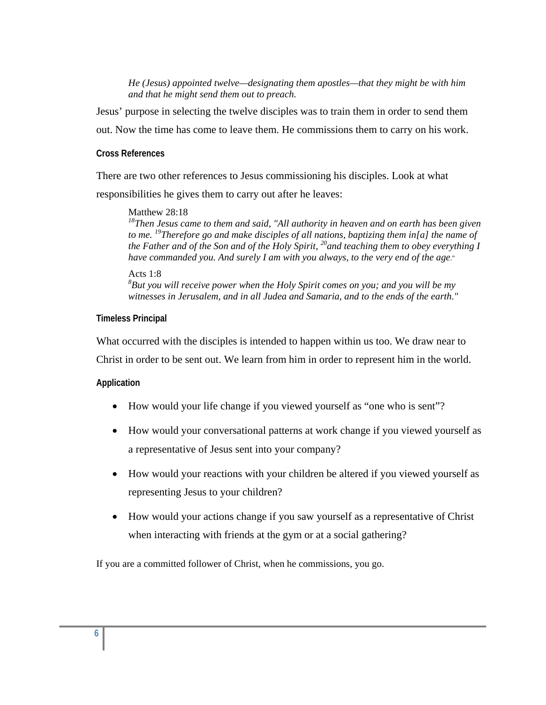*He (Jesus) appointed twelve—designating them apostles—that they might be with him and that he might send them out to preach.* 

Jesus' purpose in selecting the twelve disciples was to train them in order to send them out. Now the time has come to leave them. He commissions them to carry on his work.

#### **Cross References**

There are two other references to Jesus commissioning his disciples. Look at what responsibilities he gives them to carry out after he leaves:

#### Matthew 28:18

*18Then Jesus came to them and said, "All authority in heaven and on earth has been given to me. 19Therefore go and make disciples of all nations, baptizing them in[a] the name of the Father and of the Son and of the Holy Spirit, 20and teaching them to obey everything I have commanded you. And surely I am with you always, to the very end of the age*."

#### Acts 1:8 *8 But you will receive power when the Holy Spirit comes on you; and you will be my witnesses in Jerusalem, and in all Judea and Samaria, and to the ends of the earth."*

#### **Timeless Principal**

What occurred with the disciples is intended to happen within us too. We draw near to

Christ in order to be sent out. We learn from him in order to represent him in the world.

## **Application**

- How would your life change if you viewed yourself as "one who is sent"?
- How would your conversational patterns at work change if you viewed yourself as a representative of Jesus sent into your company?
- How would your reactions with your children be altered if you viewed yourself as representing Jesus to your children?
- How would your actions change if you saw yourself as a representative of Christ when interacting with friends at the gym or at a social gathering?

If you are a committed follower of Christ, when he commissions, you go.